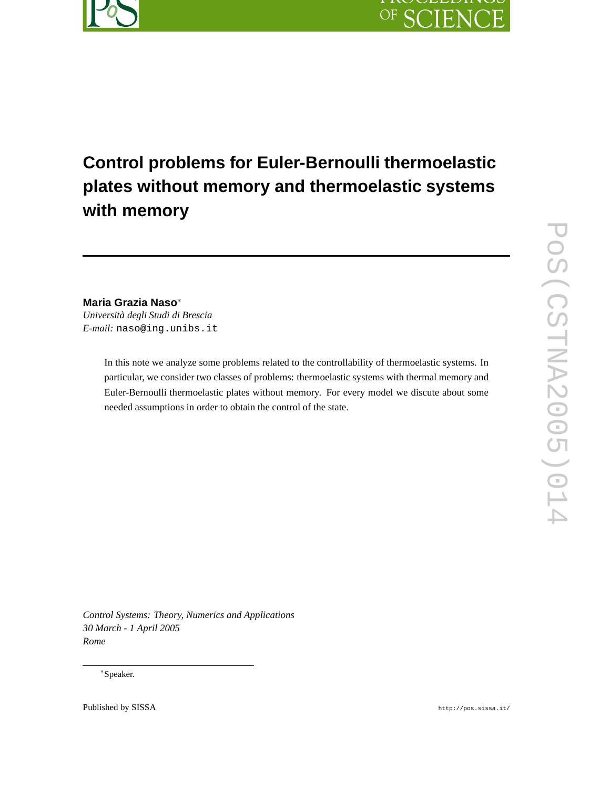

# **Control problems for Euler-Bernoulli thermoelastic plates without memory and thermoelastic systems with memory**

**Maria Grazia Naso**<sup>∗</sup> *Università degli Studi di Brescia E-mail:* naso@ing.unibs.it

> In this note we analyze some problems related to the controllability of thermoelastic systems. In particular, we consider two classes of problems: thermoelastic systems with thermal memory and Euler-Bernoulli thermoelastic plates without memory. For every model we discute about some needed assumptions in order to obtain the control of the state.

*Control Systems: Theory, Numerics and Applications 30 March - 1 April 2005 Rome*

<sup>∗</sup>Speaker.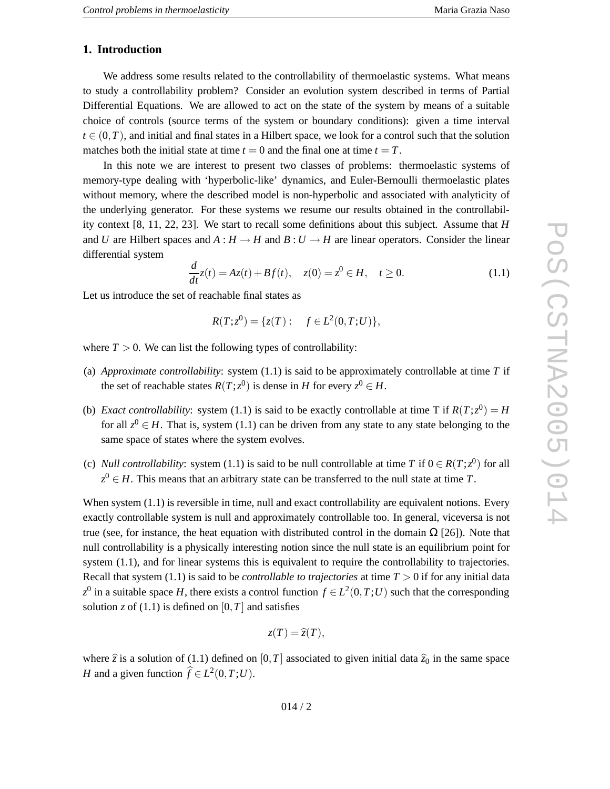## **1. Introduction**

We address some results related to the controllability of thermoelastic systems. What means to study a controllability problem? Consider an evolution system described in terms of Partial Differential Equations. We are allowed to act on the state of the system by means of a suitable choice of controls (source terms of the system or boundary conditions): given a time interval  $t \in (0,T)$ , and initial and final states in a Hilbert space, we look for a control such that the solution matches both the initial state at time  $t = 0$  and the final one at time  $t = T$ .

In this note we are interest to present two classes of problems: thermoelastic systems of memory-type dealing with 'hyperbolic-like' dynamics, and Euler-Bernoulli thermoelastic plates without memory, where the described model is non-hyperbolic and associated with analyticity of the underlying generator. For these systems we resume our results obtained in the controllability context [8, 11, 22, 23]. We start to recall some definitions about this subject. Assume that *H* and U are Hilbert spaces and  $A: H \to H$  and  $B: U \to H$  are linear operators. Consider the linear differential system

$$
\frac{d}{dt}z(t) = Az(t) + Bf(t), \quad z(0) = z^0 \in H, \quad t \ge 0.
$$
\n(1.1)

Let us introduce the set of reachable final states as

$$
R(T; z^0) = \{z(T) : f \in L^2(0, T; U)\},\
$$

where  $T > 0$ . We can list the following types of controllability:

- (a) *Approximate controllability*: system (1.1) is said to be approximately controllable at time *T* if the set of reachable states  $R(T; z^0)$  is dense in *H* for every  $z^0 \in H$ .
- (b) *Exact controllability*: system (1.1) is said to be exactly controllable at time T if  $R(T; z^0) = H$ for all  $z^0 \in H$ . That is, system (1.1) can be driven from any state to any state belonging to the same space of states where the system evolves.
- (c) *Null controllability*: system (1.1) is said to be null controllable at time T if  $0 \in R(T; z^0)$  for all  $z^0 \in H$ . This means that an arbitrary state can be transferred to the null state at time T.

When system  $(1.1)$  is reversible in time, null and exact controllability are equivalent notions. Every exactly controllable system is null and approximately controllable too. In general, viceversa is not true (see, for instance, the heat equation with distributed control in the domain  $\Omega$  [26]). Note that null controllability is a physically interesting notion since the null state is an equilibrium point for system (1.1), and for linear systems this is equivalent to require the controllability to trajectories. Recall that system (1.1) is said to be *controllable to trajectories* at time *T* > 0 if for any initial data  $z^0$  in a suitable space *H*, there exists a control function  $f \in L^2(0,T;U)$  such that the corresponding solution z of  $(1.1)$  is defined on  $[0, T]$  and satisfies

$$
z(T)=\widehat{z}(T),
$$

where  $\hat{z}$  is a solution of (1.1) defined on [0,*T*] associated to given initial data  $\hat{z}_0$  in the same space *H* and a given function  $\hat{f} \in L^2(0, T; U)$ .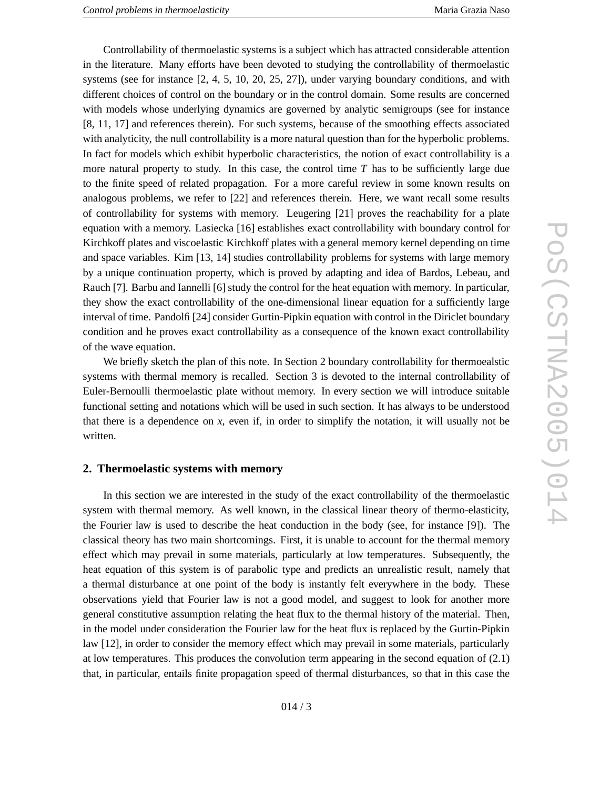Controllability of thermoelastic systems is a subject which has attracted considerable attention in the literature. Many efforts have been devoted to studying the controllability of thermoelastic systems (see for instance [2, 4, 5, 10, 20, 25, 27]), under varying boundary conditions, and with different choices of control on the boundary or in the control domain. Some results are concerned with models whose underlying dynamics are governed by analytic semigroups (see for instance [8, 11, 17] and references therein). For such systems, because of the smoothing effects associated with analyticity, the null controllability is a more natural question than for the hyperbolic problems. In fact for models which exhibit hyperbolic characteristics, the notion of exact controllability is a more natural property to study. In this case, the control tim e *T* has to be sufficiently large due to the finite speed of related propagation. For a more careful review in some known results on analogous problems, we refer to [22] and references therein. Here, we want recall some results of controllability for systems with memory. Leugering [21] proves the reachability for a plate equation with a memory. Lasiecka [16] establishes exact controllability with boundary control for Kirchkoff plates and viscoelastic Kirchkoff plates with a general memory kernel depending on time and space variables. Kim [13, 14] studies controllability problems for systems with large memory by a unique continuation property, which is proved by adapting and idea of Bardos, Lebeau, and Rauch [7]. Barbu and Iannelli [6] study the control for the heat equation with memory. In particular, they show the exact controllability of the one-dimensional linear equation for a sufficiently large interval of time. Pandolfi [24] consider Gurtin-Pipkin equation with control in the Diriclet boundary condition and he proves exact controllability as a consequence of the known exact controllability of the wave equation.

We briefly sketch the plan of this note. In Section 2 boundary controllability for thermoealstic systems with thermal memory is recalled. Section 3 is devoted to the internal controllability of Euler-Bernoulli thermoelastic plate without memory. In every section we will introduce suitable functional setting and notations which will be used in such section. It has always to be understood that there is a dependence on *x*, even if, in order to simplify the notation, it will usually not be written.

#### **2. Thermoelastic systems with memory**

In this section we are interested in the study of the exact controllability of the thermoelastic system with thermal memory. As well known, in the classical linear theory of thermo-elasticity, the Fourier law is used to describe the heat conduction in the body (see, for instance [9]). The classical theory has two main shortcomings. First, it is unable to account for the thermal memory effect which may prevail in some materials, particularly at low temperatures. Subsequently, the heat equation of this system is of parabolic type and predicts an unrealistic result, namely that a thermal disturbance at one point of the body is instantly felt everywhere in the body. These observations yield that Fourier law is not a good model, and suggest to look for another more general constitutive assumption relating the heat flux to the thermal history of the material. Then, in the model under consideration the Fourier law for the heat flux is replaced by the Gurtin-Pipkin law [12], in order to consider the memory effect which may prevail in some materials, particularly at low temperatures. This produces the convolution term appearing in the second equation of (2.1) that, in particular, entails finite propagation speed of thermal disturbances, so that in this case the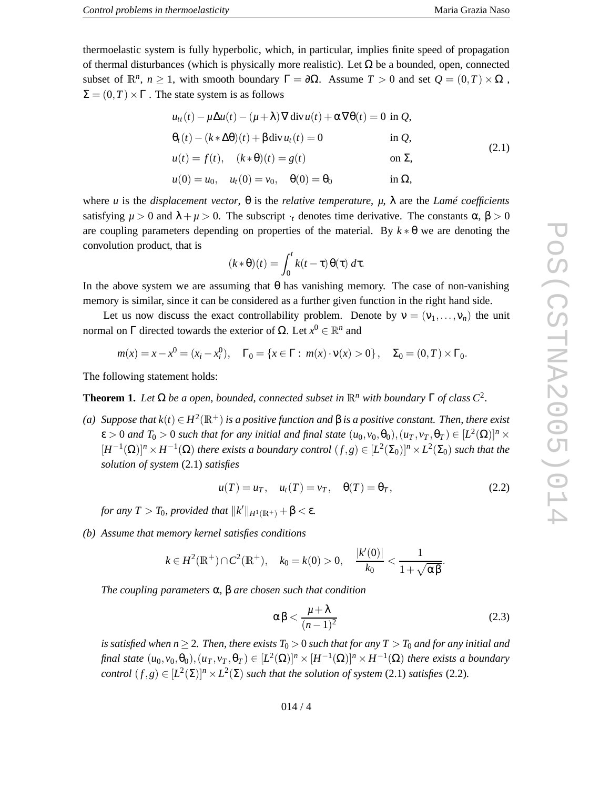thermoelastic system is fully hyperbolic, which, in particular, implies finite speed of propagation of thermal disturbances (which is physically more realistic). Let  $\Omega$  be a bounded, open, connected subset of  $\mathbb{R}^n$ ,  $n \ge 1$ , with smooth boundary  $\Gamma = \partial \Omega$ . Assume  $T > 0$  and set  $Q = (0, T) \times \Omega$ ,  $\Sigma = (0, T) \times \Gamma$ . The state system is as follows

$$
u_{tt}(t) - \mu \Delta u(t) - (\mu + \lambda) \nabla \operatorname{div} u(t) + \alpha \nabla \theta(t) = 0 \text{ in } Q,
$$
  
\n
$$
\theta_t(t) - (k \times \Delta \theta)(t) + \beta \operatorname{div} u_t(t) = 0 \qquad \text{in } Q,
$$
  
\n
$$
u(t) = f(t), \quad (k \times \theta)(t) = g(t) \qquad \text{on } \Sigma,
$$
\n(2.1)

$$
u(0) = u_0
$$
,  $u_t(0) = v_0$ ,  $\theta(0) = \theta_0$  in  $\Omega$ ,

where *u* is the *displacement vector*,  $\theta$  is the *relative temperature*, *μ*, λ are the *Lamé coefficients* satisfying  $\mu > 0$  and  $\lambda + \mu > 0$ . The subscript  $\cdot_t$  denotes time derivative. The constants  $\alpha$ ,  $\beta > 0$ are coupling parameters depending on properties of the material. By  $k * \theta$  we are denoting the convolution product, that is

$$
(k * \theta)(t) = \int_0^t k(t - \tau) \theta(\tau) d\tau.
$$

In the above system we are assuming that  $\theta$  has vanishing memory. The case of non-vanishing memory is similar, since it can be considered as a further given function in the right hand side.

Let us now discuss the exact controllability problem. Denote by  $v = (v_1, \dots, v_n)$  the unit normal on Γ directed towards the exterior of  $\Omega$ . Let  $x^0 \in \mathbb{R}^n$  and

$$
m(x) = x - x^0 = (x_i - x_i^0), \quad \Gamma_0 = \{x \in \Gamma : m(x) \cdot v(x) > 0\}, \quad \Sigma_0 = (0, T) \times \Gamma_0.
$$

The following statement holds:

**Theorem 1.** Let  $\Omega$  be a open, bounded, connected subset in  $\mathbb{R}^n$  with boundary  $\Gamma$  of class  $C^2$ .

(a) Suppose that  $k(t) \in H^2(\mathbb{R}^+)$  is a positive function and  $\beta$  is a positive constant. Then, there exist  $\epsilon > 0$  and  $T_0 > 0$  such that for any initial and final state  $(u_0, v_0, \theta_0), (u_T, v_T, \theta_T) \in [L^2(\Omega)]^n \times$  $[H^{-1}(\Omega)]^n \times H^{-1}(\Omega)$  there exists a boundary control  $(f, g) \in [L^2(\Sigma_0)]^n \times L^2(\Sigma_0)$  such that the *solution of system* (2.1) *satisfies*

$$
u(T) = u_T, \quad u_t(T) = v_T, \quad \theta(T) = \theta_T,
$$
\n(2.2)

*for any*  $T > T_0$ *, provided that*  $||k'||_{H^1(\mathbb{R}^+)} + \beta < \varepsilon$ *.* 

*(b) Assume that memory kernel satisfies conditions*

$$
k \in H^{2}(\mathbb{R}^{+}) \cap C^{2}(\mathbb{R}^{+}), \quad k_{0} = k(0) > 0, \quad \frac{|k'(0)|}{k_{0}} < \frac{1}{1 + \sqrt{\alpha \beta}}.
$$

*The coupling parameters* α *,* β *are chosen such that condition*

$$
\alpha \beta < \frac{\mu + \lambda}{(n-1)^2} \tag{2.3}
$$

is satisfied when  $n\geq 2$ . Then, there exists  $T_0>0$  such that for any  $T>T_0$  and for any initial and final state  $(u_0, v_0, \theta_0), (u_T, v_T, \theta_T) \in [L^2(\Omega)]^n \times [H^{-1}(\Omega)]^n \times H^{-1}(\Omega)$  there exists a boundary *control*  $(f, g) \in [L^2(\Sigma)]^n \times L^2(\Sigma)$  *such that the solution of system* (2.1) *satisfies* (2.2).

014 / 4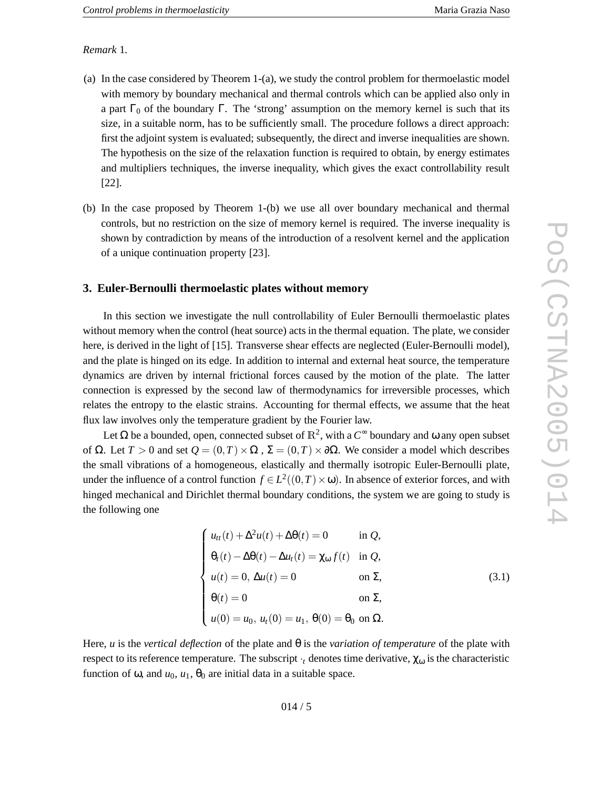#### *Remark* 1 *.*

- (a) In the case considered by Theorem 1-(a), we study the control problem for thermoelastic model with memory by boundary mechanical and thermal controls which can be applied also only in a part  $\Gamma_0$  of the boundary  $\Gamma$ . The 'strong' assumption on the memory kernel is such that its size, in a suitable norm, has to be sufficiently small. The procedure follows a direct approach: first the adjoint system is evaluated; subsequently, the direct and inverse inequalities are shown. The hypothesis on the size of the relaxation function is required to obtain, by energy estimates and multipliers techniques, the inverse inequality, which gives the exact controllability result [22].
- (b) In the case proposed by Theorem 1-(b) we use all over boundary mechanical and thermal controls, but no restriction on the size of memory kernel is required. The inverse inequality is shown by contradiction by means of the introduction of a resolvent kernel and the application of a unique continuation property [23].

#### **3. Euler-Bernoulli thermoelastic plates without memory**

In this section we investigate the null controllability of Euler Bernoulli thermoelastic plates without memory when the control (heat source) acts in the thermal equation. The plate, we consider here, is derived in the light of [15]. Transverse shear effects are neglected (Euler-Bernoulli model), and the plate is hinged on its edge. In addition to internal and external heat source, the temperature dynamics are driven by internal frictional forces caused by the motion of the plate. The latter connection is expressed by the second law of thermodynamics for irreversible processes, which relates the entropy to the elastic strains. Accounting for thermal effects, we assume that the heat flux law involves only the temperature gradient by the Fourier law.

Let  $\Omega$  be a bounded, open, connected subset of  $\mathbb{R}^2$ , with a  $C^{\infty}$  boundary and  $\omega$  any open subset of Ω. Let  $T > 0$  and set  $Q = (0, T) \times \Omega$ ,  $\Sigma = (0, T) \times \partial \Omega$ . We consider a model which describes the small vibrations of a homogeneous, elastically and thermally isotropic Euler-Bernoulli plate, under the influence of a control function  $f \in L^2((0,T) \times \omega)$ . In absence of exterior forces, and with hinged mechanical and Dirichlet thermal boundary conditions, the system we are going to study is the following one

$$
\begin{cases}\n u_{tt}(t) + \Delta^2 u(t) + \Delta\theta(t) = 0 & \text{in } Q, \\
 \theta_t(t) - \Delta\theta(t) - \Delta u_t(t) = \chi_{\omega} f(t) & \text{in } Q, \\
 u(t) = 0, \ \Delta u(t) = 0 & \text{on } \Sigma, \\
 \theta(t) = 0 & \text{on } \Sigma, \\
 u(0) = u_0, \ u_t(0) = u_1, \ \theta(0) = \theta_0 \text{ on } \Omega.\n\end{cases}
$$
\n(3.1)

Here, *u* is the *vertical deflection* of the plate and θ is the *variation of temperature* of the plate with respect to its reference temperature. The subscript  $\cdot_t$  denotes time derivative,  $\chi_{\omega}$  is the characteristic function of  $\omega$ , and  $u_0$ ,  $u_1$ ,  $\theta_0$  are initial data in a suitable space.

POS(CSTNA2005)014 PoS(CSTNA2005)014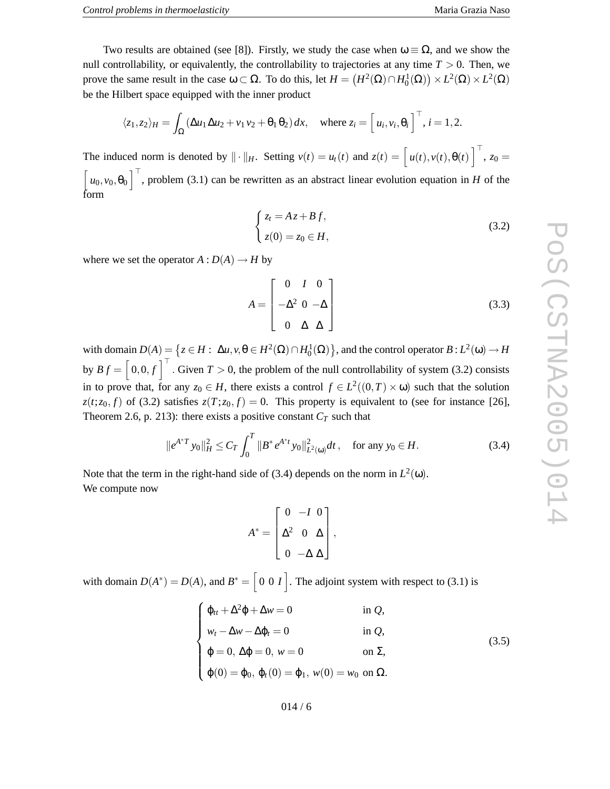Two results are obtained (see [8]). Firstly, we study the case when  $\omega \equiv \Omega$ , and we show the null controllability, or equivalently, the controllability to trajectories at any time *T* > 0. Then, we prove the same result in the case  $\omega \subset \Omega$ . To do this, let  $H = (H^2(\Omega) \cap H_0^1(\Omega)) \times L^2(\Omega) \times L^2(\Omega)$ be the Hilbert space equipped with the inner product

$$
\langle z_1, z_2 \rangle_H = \int_{\Omega} (\Delta u_1 \Delta u_2 + v_1 v_2 + \theta_1 \theta_2) dx, \text{ where } z_i = \begin{bmatrix} u_i, v_i, \theta_i \end{bmatrix}^\top, i = 1, 2.
$$

The induced norm is denoted by  $\|\cdot\|_H$ . Setting  $v(t) = u_t(t)$  and  $z(t) = \left[u(t), v(t), \theta(t)\right]^\top$ ,  $z_0 =$  $\begin{bmatrix} u_0, v_0, \theta_0 \end{bmatrix}^\top$ , problem (3.1) can be rewritten as an abstract linear evolution equation in *H* of the form

$$
\begin{cases}\nz_t = Az + Bf, \\
z(0) = z_0 \in H,\n\end{cases}
$$
\n(3.2)

where we set the operator  $A: D(A) \to H$  by

$$
A = \begin{bmatrix} 0 & I & 0 \\ -\Delta^2 & 0 & -\Delta \\ 0 & \Delta & \Delta \end{bmatrix}
$$
 (3.3)

with domain  $D(A) = \left\{ z \in H : \Delta u, v, \theta \in H^2(\Omega) \cap H_0^1(\Omega) \right\}$ , and the control operator  $B: L^2(\omega) \to H$ by  $Bf = \begin{bmatrix} 0,0,f \end{bmatrix}^\top$ . Given  $T > 0$ , the problem of the null controllability of system (3.2) consists in to prove that, for any  $z_0 \in H$ , there exists a control  $f \in L^2((0,T) \times \omega)$  such that the solution  $z(t; z_0, f)$  of (3.2) satisfies  $z(T; z_0, f) = 0$ . This property is equivalent to (see for instance [26], Theorem 2.6, p. 213): there exists a positive constant  $C_T$  such that

$$
\|e^{A^*T}y_0\|_H^2 \le C_T \int_0^T \|B^* e^{A^*t}y_0\|_{L^2(\omega)}^2 dt \,, \quad \text{for any } y_0 \in H. \tag{3.4}
$$

Note that the term in the right-hand side of (3.4) depends on the norm in  $L^2(\omega)$ . We compute now

$$
A^* = \begin{bmatrix} 0 & -I & 0 \\ \Delta^2 & 0 & \Delta \\ 0 & -\Delta & \Delta \end{bmatrix},
$$

with domain  $D(A^*) = D(A)$ , and  $B^* = \begin{bmatrix} 0 & 0 & I \end{bmatrix}$ . The adjoint system with respect to (3.1) is

$$
\begin{cases}\n\varphi_{tt} + \Delta^2 \varphi + \Delta w = 0 & \text{in } Q, \\
w_t - \Delta w - \Delta \varphi_t = 0 & \text{in } Q, \\
\varphi = 0, \Delta \varphi = 0, w = 0 & \text{on } \Sigma, \\
\varphi(0) = \varphi_0, \varphi_t(0) = \varphi_1, w(0) = w_0 \text{ on } \Omega.\n\end{cases}
$$
\n(3.5)

014 / 6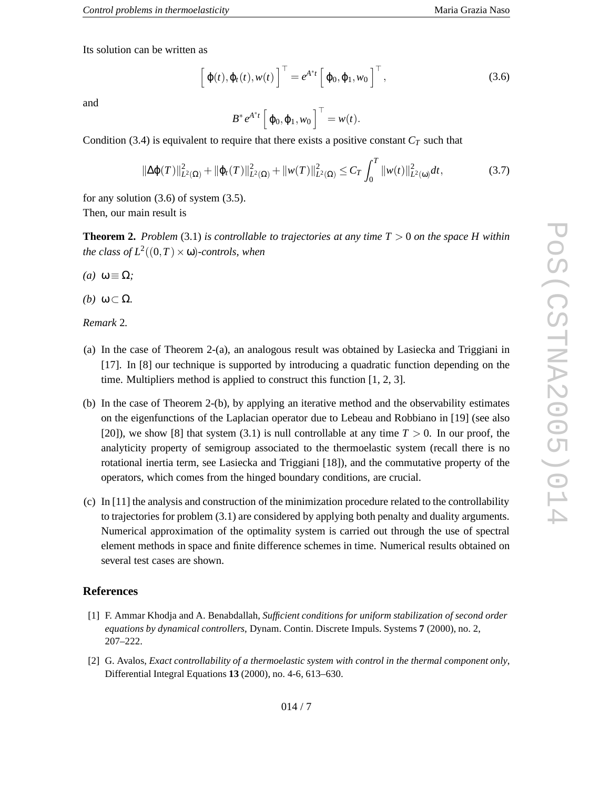Its solution can be written as

$$
\left[\varphi(t),\varphi_t(t),w(t)\right]^\top=e^{A^*t}\left[\varphi_0,\varphi_1,w_0\right]^\top,\tag{3.6}
$$

and

$$
B^* e^{A^*t} \left[ \varphi_0, \varphi_1, w_0 \right]^{\top} = w(t).
$$

Condition (3.4) is equivalent to require that there exists a positive constant  $C_T$  such that

$$
\|\Delta \varphi(T)\|_{L^2(\Omega)}^2 + \|\varphi_t(T)\|_{L^2(\Omega)}^2 + \|w(T)\|_{L^2(\Omega)}^2 \le C_T \int_0^T \|w(t)\|_{L^2(\omega)}^2 dt,
$$
\n(3.7)

for any solution (3.6) of system (3.5). Then, our main result is

**Theorem 2.** *Problem* (3.1) *is controllable to trajectories at any time T* > 0 *on the space H within* the class of  $L^2((0,T)\times \omega)$ -controls, when

- $(a)$  ω ≡ Ω;
- *(b)* **ω** ⊂ Ω.

*Remark* 2 *.*

- (a) In the case of Theorem 2-(a), an analogous result was obtained by Lasiecka and Triggiani in [17]. In [8] our technique is supported by introducing a quadratic function depending on the time. Multipliers method is applied to construct this function [1, 2, 3].
- (b) In the case of Theorem 2-(b), by applying an iterative method and the observability estimates on the eigenfunctions of the Laplacian operator due to Lebeau and Robbiano in [19] (see also [20]), we show [8] that system  $(3.1)$  is null controllable at any time  $T > 0$ . In our proof, the analyticity property of semigroup associated to the thermoelastic system (recall there is no rotational inertia term, see Lasiecka and Triggiani [18]), and the commutative property of the operators, which comes from the hinged boundary conditions, are crucial.
- (c) In [11] the analysis and construction of the minimization procedure related to the controllability to trajectories for problem (3.1) are considered by applying both penalty and duality arguments. Numerical approximation of the optimality system is carried out through the use of spectral element methods in space and finite difference schemes in time. Numerical results obtained on several test cases are shown.

### **References**

- [1] F. Ammar Khodja and A. Benabdallah, *Sufficient conditions for uniform stabilization of second order equations by dynamical controllers*, Dynam. Contin. Discrete Impuls. Systems **7** (2000), no. 2, 207–222.
- [2] G. Avalos, *Exact controllability of a thermoelastic system with control in the thermal component only* , Differential Integral Equations **13** (2000), no. 4-6, 613–630.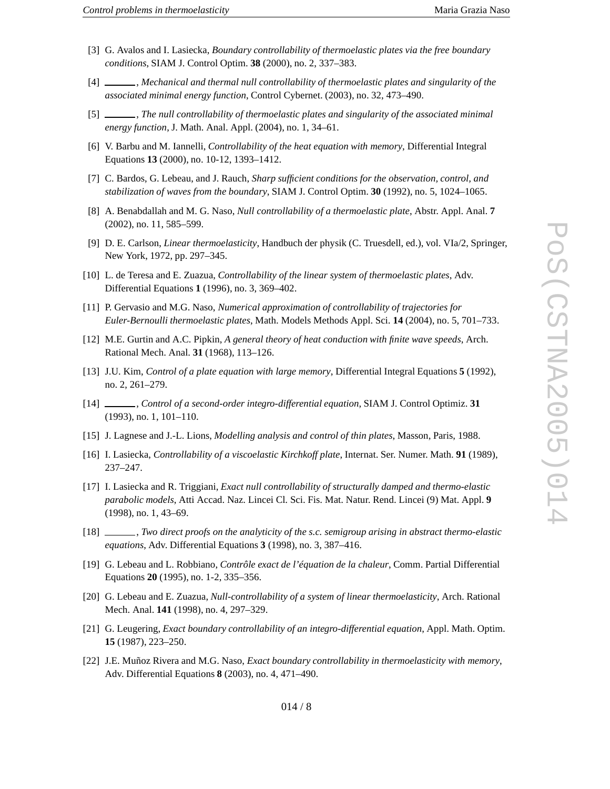- [3] G. Avalos and I. Lasiecka, *Boundary controllability of thermoelastic plates via the free boundary conditions*, SIAM J. Control Optim. **38** (2000), no. 2, 337–383.
- [4] , *Mechanical and thermal null controllability of thermoelastic plates and singularity of the associated minimal energy function*, Control Cybernet. (2003), no. 32, 473–490.
- $\begin{bmatrix} 5 \end{bmatrix}$ , *The null controllability of thermoelastic plates and singularity of the associated minimal energy function*, J. Math. Anal. Appl. (2004), no. 1, 34–61.
- [6] V. Barbu and M. Iannelli, *Controllability of the heat equation with memory*, Differential Integral Equations **13** (2000), no. 10-12, 1393–1412.
- [7] C. Bardos, G. Lebeau, and J. Rauch, *Sharp sufficient conditions for the observation, control, and stabilization of waves from the boundary*, SIAM J. Control Optim. **30** (1992), no. 5, 1024–1065.
- [8] A. Benabdallah and M. G. Naso, *Null controllability of a thermoelastic plate*, Abstr. Appl. Anal. **7** (2002), no. 11, 585–599.
- [9] D. E. Carlson, *Linear thermoelasticity*, Handbuch der physik (C. Truesdell, ed.), vol. VIa/2, Springer, New York, 1972, pp. 297–345.
- [10] L. de Teresa and E. Zuazua, *Controllability of the linear system of thermoelastic plates*, Adv. Differential Equations **1** (1996), no. 3, 369–402.
- [11] P. Gervasio and M.G. Naso, *Numerical approximation of controllability of trajectories for Euler-Bernoulli thermoelastic plates*, Math. Models Methods Appl. Sci. **14** (2004), no. 5, 701–733.
- [12] M.E. Gurtin and A.C. Pipkin, *A general theory of heat conduction with finite wave speeds*, Arch. Rational Mech. Anal. **31** (1968), 113–126.
- [13] J.U. Kim, *Control of a plate equation with large memory*, Differential Integral Equations **5** (1992), no. 2, 261–279.
- $[14]$   $-$ , *Control of a second-order integro-differential equation*, SIAM J. Control Optimiz. **31** (1993), no. 1, 101–110.
- [15] J. Lagnese and J.-L. Lions, *Modelling analysis and control of thin plates*, Masson, Paris, 1988.
- [16] I. Lasiecka, *Controllability of a viscoelastic Kirchkoff plate*, Internat. Ser. Numer. Math. **91** (1989), 237–247.
- [17] I. Lasiecka and R. Triggiani, *Exact null controllability of structurally damped and thermo-elastic parabolic models*, Atti Accad. Naz. Lincei Cl. Sci. Fis. Mat. Natur. Rend. Lincei (9) Mat. Appl. **9** (1998), no. 1, 43–69.
- $[18]$   $-$ , *Two direct proofs on the analyticity of the s.c. semigroup arising in abstract thermo-elastic equations*, Adv. Differential Equations **3** (1998), no. 3, 387–416.
- [19] G. Lebeau and L. Robbiano, *Contrôle exact de l'équation de la chaleur*, Comm. Partial Differential Equations **20** (1995), no. 1-2, 335–356.
- [20] G. Lebeau and E. Zuazua, *Null-controllability of a system of linear thermoelasticity*, Arch. Rational Mech. Anal. **141** (1998), no. 4, 297–329.
- [21] G. Leugering, *Exact boundary controllability of an integro-differential equation*, Appl. Math. Optim. **15** (1987), 223–250.
- [22] J.E. Muñoz Rivera and M.G. Naso, *Exact boundary controllability in thermoelasticity with memory* , Adv. Differential Equations **8** (2003), no. 4, 471–490.